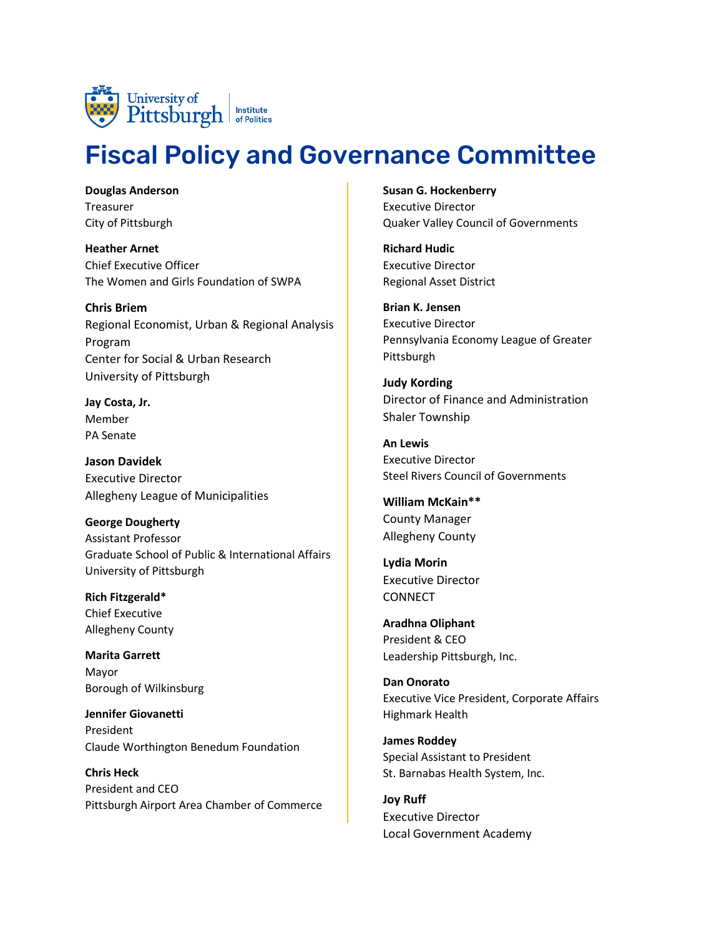

## Fiscal Policy and Governance Committee

**Douglas Anderson** Treasurer City of Pittsburgh

**Heather Arnet** Chief Executive Officer The Women and Girls Foundation of SWPA

**Chris Briem** Regional Economist, Urban & Regional Analysis Program Center for Social & Urban Research University of Pittsburgh

**Jay Costa, Jr.**  Member PA Senate

**Jason Davidek** Executive Director Allegheny League of Municipalities

**George Dougherty** Assistant Professor Graduate School of Public & International Affairs University of Pittsburgh

**Rich Fitzgerald\*** Chief Executive Allegheny County

**Marita Garrett** Mayor Borough of Wilkinsburg

**Jennifer Giovanetti**  President Claude Worthington Benedum Foundation

**Chris Heck** President and CEO Pittsburgh Airport Area Chamber of Commerce **Susan G. Hockenberry** Executive Director Quaker Valley Council of Governments

**Richard Hudic** Executive Director Regional Asset District

**Brian K. Jensen** Executive Director Pennsylvania Economy League of Greater Pittsburgh

**Judy Kording** Director of Finance and Administration Shaler Township

**An Lewis** Executive Director Steel Rivers Council of Governments

**William McKain\*\*** County Manager Allegheny County

**Lydia Morin** Executive Director **CONNECT** 

**Aradhna Oliphant** President & CEO Leadership Pittsburgh, Inc.

**Dan Onorato** Executive Vice President, Corporate Affairs Highmark Health

**James Roddey** Special Assistant to President St. Barnabas Health System, Inc.

**Joy Ruff** Executive Director Local Government Academy